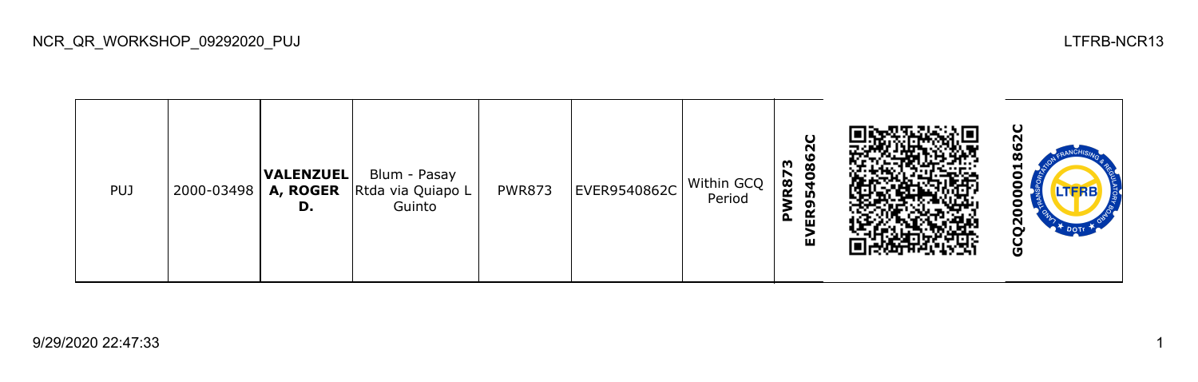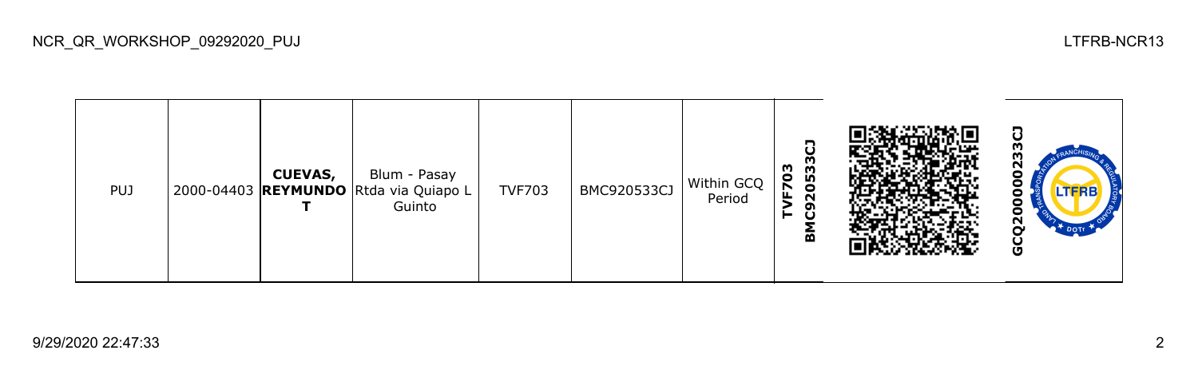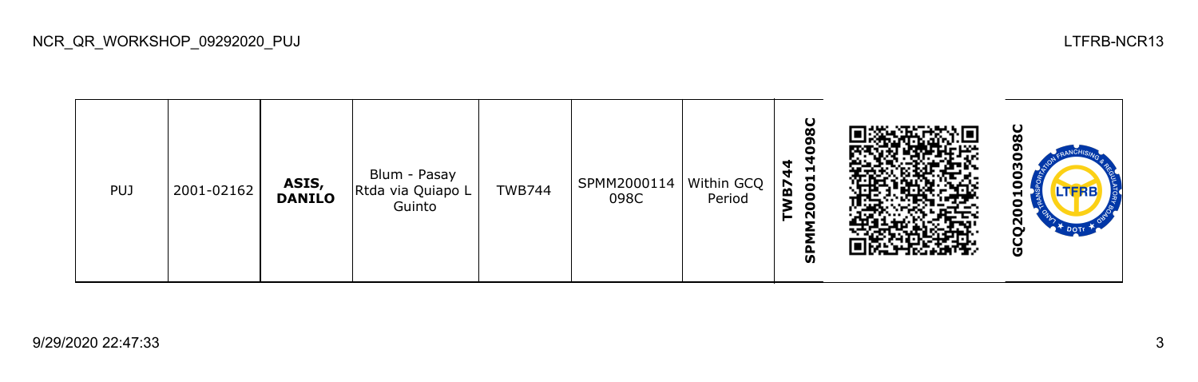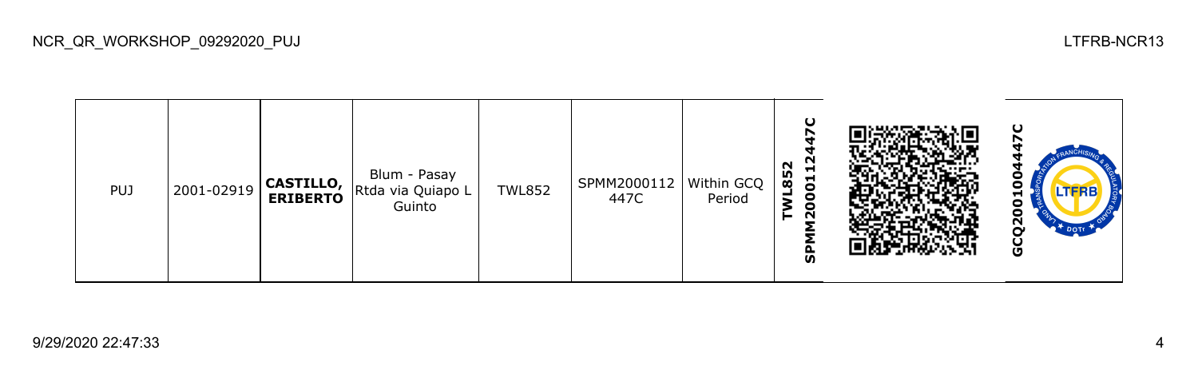| <b>PUJ</b> | 2001-02919 | CASTILLO,<br>  ERIBERTO | Blum - Pasay<br>Rtda via Quiapo L<br>Guinto | <b>TWL852</b> | SPMM2000112   Within GCQ<br>447C | Period | O<br>N<br>Ħ<br><b>LO</b><br>$\overline{5}$<br>$\infty$<br>o<br>c<br>$\sim$<br>o<br>ັທ |  | ပ<br>o<br>−<br>о<br>0<br>N<br>U |
|------------|------------|-------------------------|---------------------------------------------|---------------|----------------------------------|--------|---------------------------------------------------------------------------------------|--|---------------------------------|
|------------|------------|-------------------------|---------------------------------------------|---------------|----------------------------------|--------|---------------------------------------------------------------------------------------|--|---------------------------------|

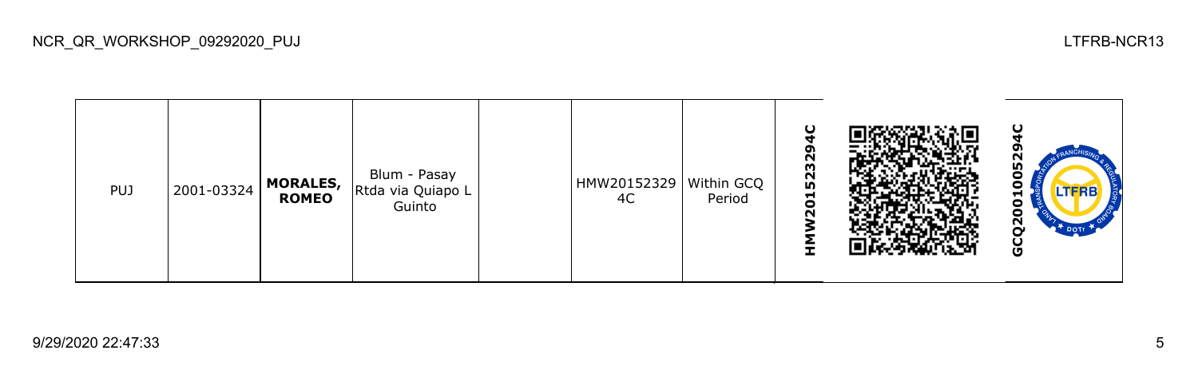| <b>PUJ</b> | 2001-03324 | <b>MORALES,</b><br><b>ROMEO</b> | Blum - Pasay<br>Rtda via Quiapo L<br>Guinto |  | HMW20152329<br>4C | Within GCQ<br>Period | ິຕ<br>5232<br>$\blacksquare$<br>$\circ$<br>$\sim$ |  |  | ပ<br>m<br>0<br>0<br>TERB-<br>⊣<br>8<br>N<br>DOTT<br>U |  |
|------------|------------|---------------------------------|---------------------------------------------|--|-------------------|----------------------|---------------------------------------------------|--|--|-------------------------------------------------------|--|
|------------|------------|---------------------------------|---------------------------------------------|--|-------------------|----------------------|---------------------------------------------------|--|--|-------------------------------------------------------|--|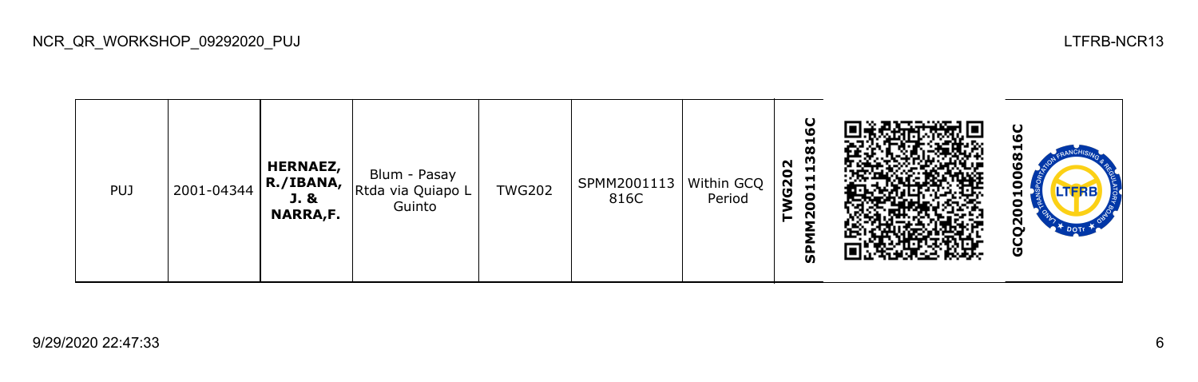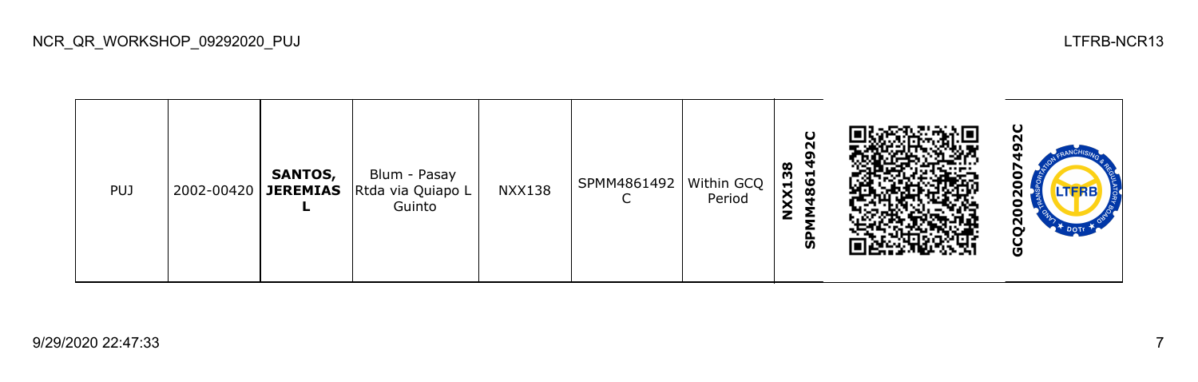| <b>PUJ</b> | 2002-00420 | <b>SANTOS,</b><br><b>JEREMIAS</b> | Blum - Pasay<br>Rtda via Quiapo L<br>Guinto | <b>NXX138</b> | SPMM4861492 | Within GCQ  <br>Period | N<br>$\infty$<br>m<br><b>1981</b><br>NXX1<br>ჭ |  | ပ<br>о<br>о<br>Ñ<br><b>DOTI</b><br>O |
|------------|------------|-----------------------------------|---------------------------------------------|---------------|-------------|------------------------|------------------------------------------------|--|--------------------------------------|
|------------|------------|-----------------------------------|---------------------------------------------|---------------|-------------|------------------------|------------------------------------------------|--|--------------------------------------|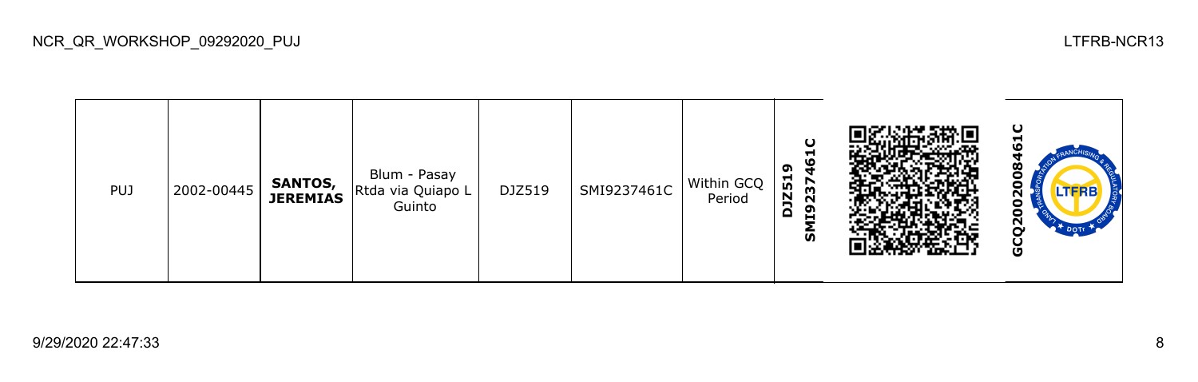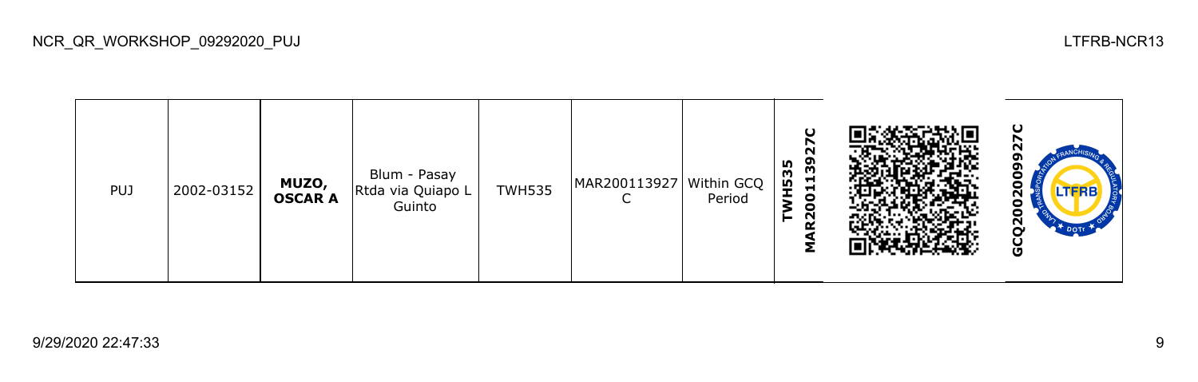**GCQ2002009927CMAR200113927C**  $\overline{\mathbf{N}}$ **TWH535** Blum - Pasay 0 PUJ 2002-03152 **MUZO,**  TWH535 MAR200113927 Within GCQ  $\overline{0}2$ Rtda via Quiapo L **OSCAR A**  $\mathsf{C}$ Period Guinto GCQ20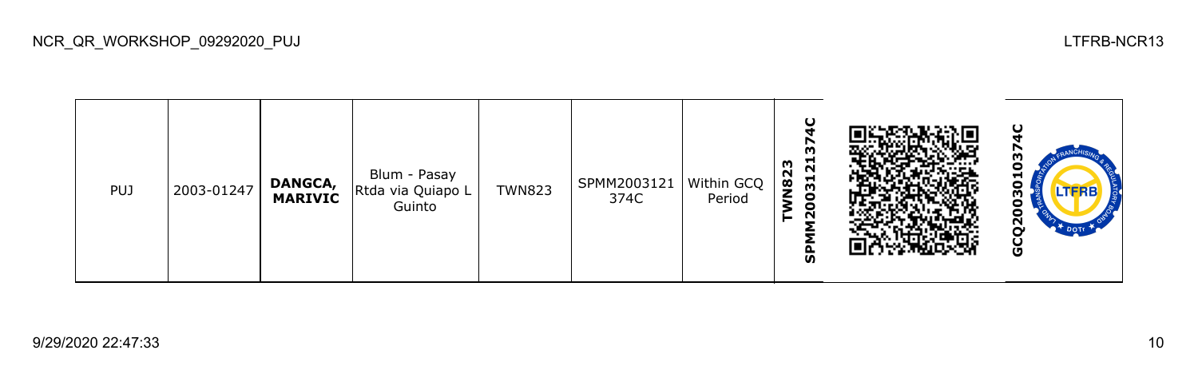**SPMM2003121374C GCQ2003010374C**TWN823<br>SPMM200312137 0 Blum - Pasay PUJ 2003-01247 **DANGCA,**  TWN823 SPMM2003121 Within GCQ 030 Rtda via Quiapo L **MARIVIC** 374C Period Guinto GCQ20

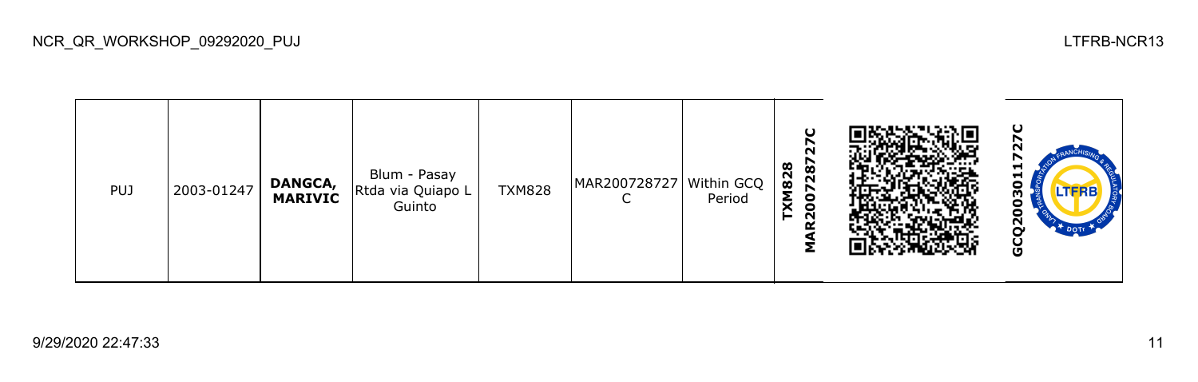| <b>PUJ</b> | 2003-01247 | <b>DANGCA,</b><br><b>MARIVIC</b> | Blum - Pasay<br>Rtda via Quiapo L<br>Guinto | <b>TXM828</b> | MAR200728727   Within GCQ | Period | $\mathbf C$<br>287<br>$\infty$<br>82<br>↖<br>Σ<br>۰<br>$\bullet$<br>N |  | ပ<br>┳.<br>H<br>o<br>m<br>о<br>N<br>DOTT<br>ט |
|------------|------------|----------------------------------|---------------------------------------------|---------------|---------------------------|--------|-----------------------------------------------------------------------|--|-----------------------------------------------|
|------------|------------|----------------------------------|---------------------------------------------|---------------|---------------------------|--------|-----------------------------------------------------------------------|--|-----------------------------------------------|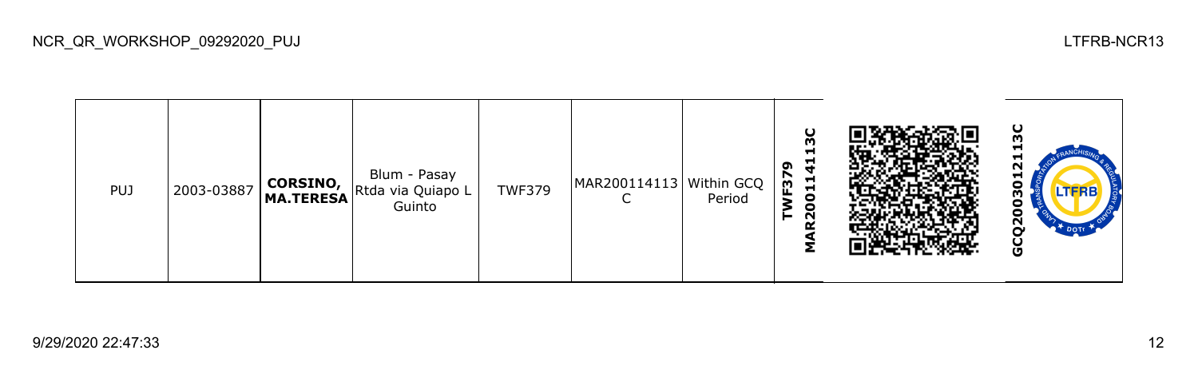| <b>PUJ</b> | 2003-03887 |  | Blum - Pasay<br>"   MA.TERESA Rtda via Quiapo L<br>Guinto | <b>TWF379</b> | MAR200114113   Within GCQ | Period | U<br>m<br>−<br>r,<br>ີ<br>F <sub>3</sub><br>Ħ<br>$\blacksquare$<br>0<br>o<br>$\sim$ |  | ပ<br>−<br>⊣<br>N<br>⊣<br>o<br><b>LTFRB</b><br>о<br>ี<br>U |
|------------|------------|--|-----------------------------------------------------------|---------------|---------------------------|--------|-------------------------------------------------------------------------------------|--|-----------------------------------------------------------|
|------------|------------|--|-----------------------------------------------------------|---------------|---------------------------|--------|-------------------------------------------------------------------------------------|--|-----------------------------------------------------------|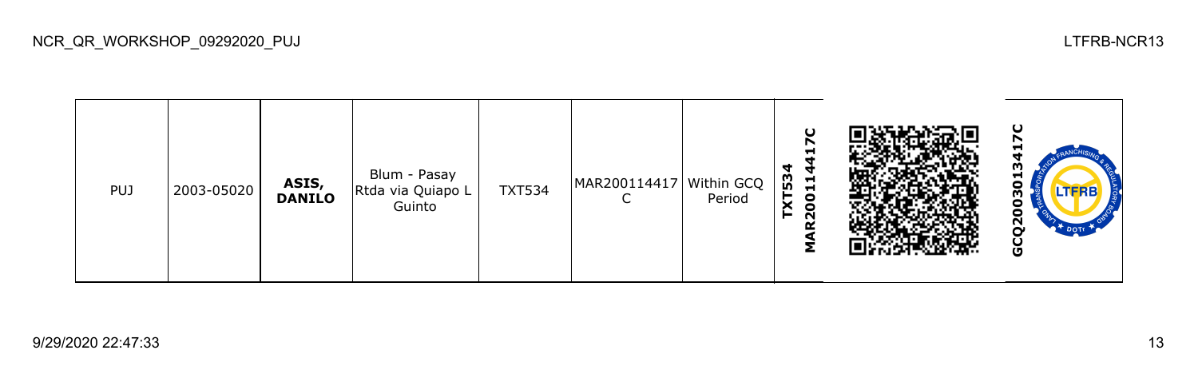**GCQ2003013417CMAR200114417C TXT534** Blum - Pasay PUJ 2003-05020 **ASIS,**  TXT534 MAR200114417 Within GCQ 030 Rtda via Quiapo L **DANILO**  $\mathsf{C}$ Period Guinto GCQ20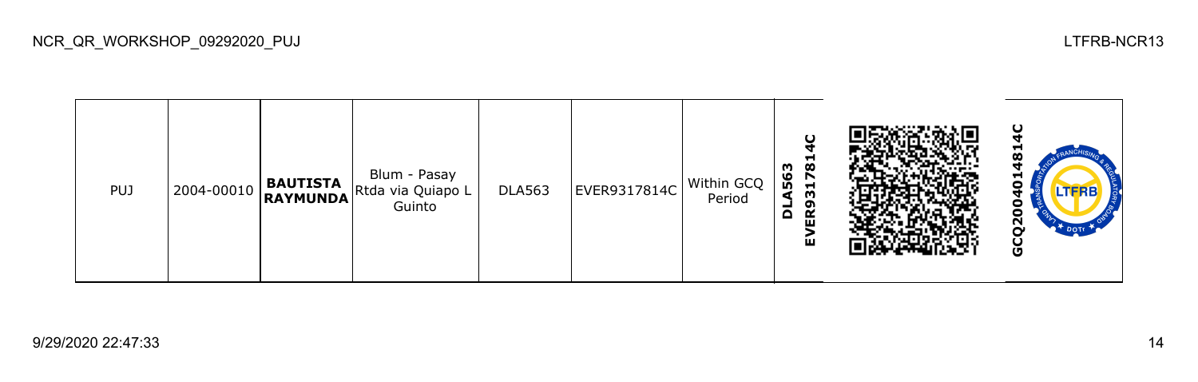

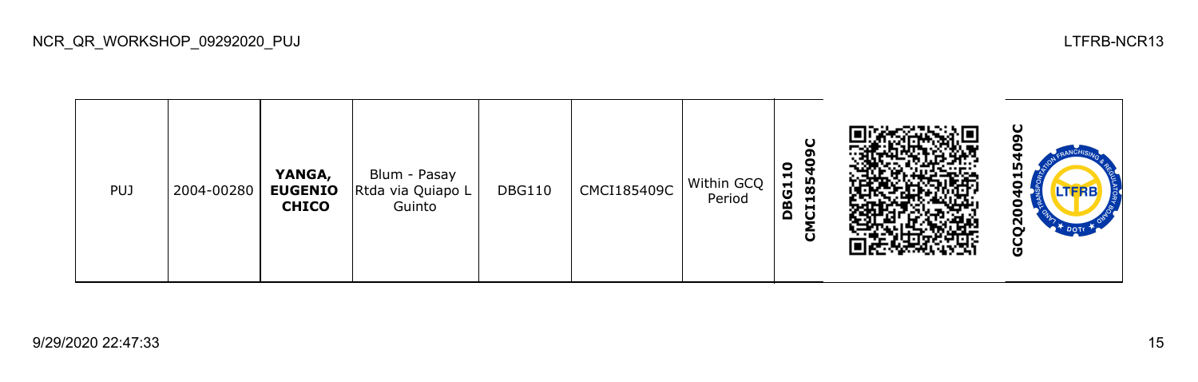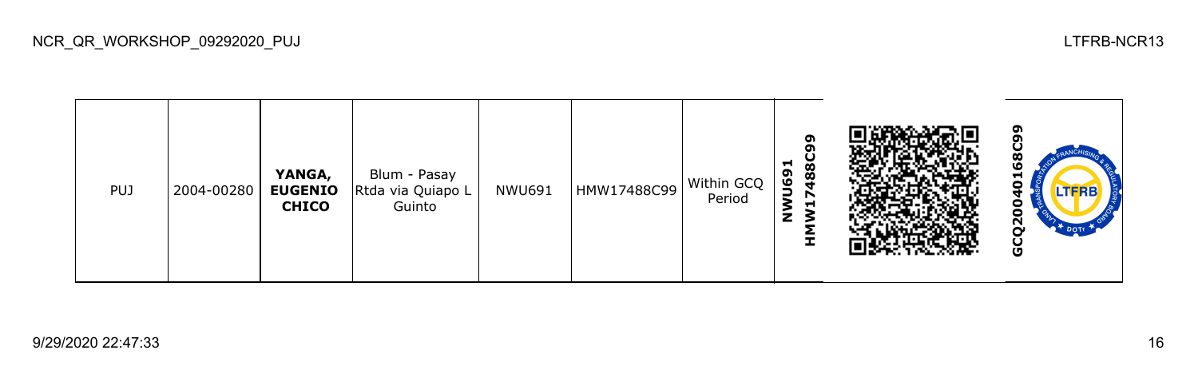| <b>PUJ</b> | 2004-00280 | YANGA,<br><b>EUGENIO</b><br><b>CHICO</b> | Blum - Pasay<br>Rtda via Quiapo L<br>Guinto | NWU691 | HMW17488C99 | Within GCQ<br>Period | ໑<br>488<br>n<br>U69<br>↖<br>−<br>- |  | o<br>┍<br>N<br>o |
|------------|------------|------------------------------------------|---------------------------------------------|--------|-------------|----------------------|-------------------------------------|--|------------------|
|------------|------------|------------------------------------------|---------------------------------------------|--------|-------------|----------------------|-------------------------------------|--|------------------|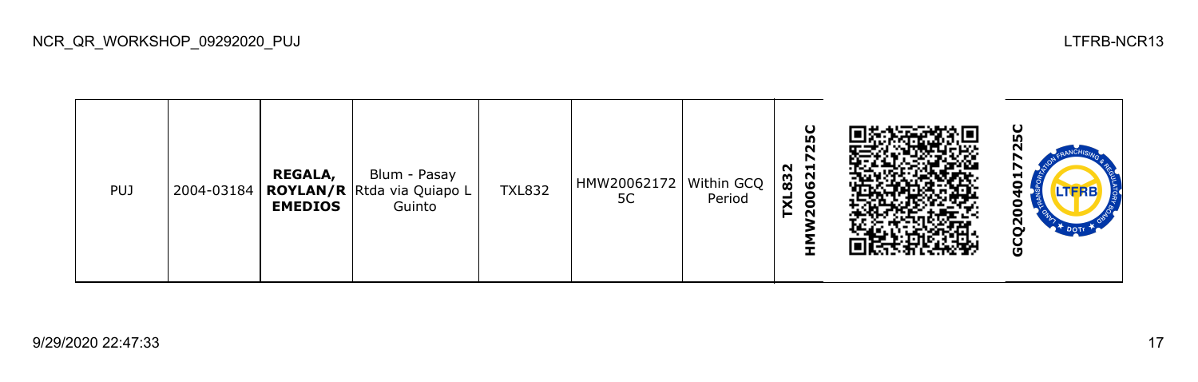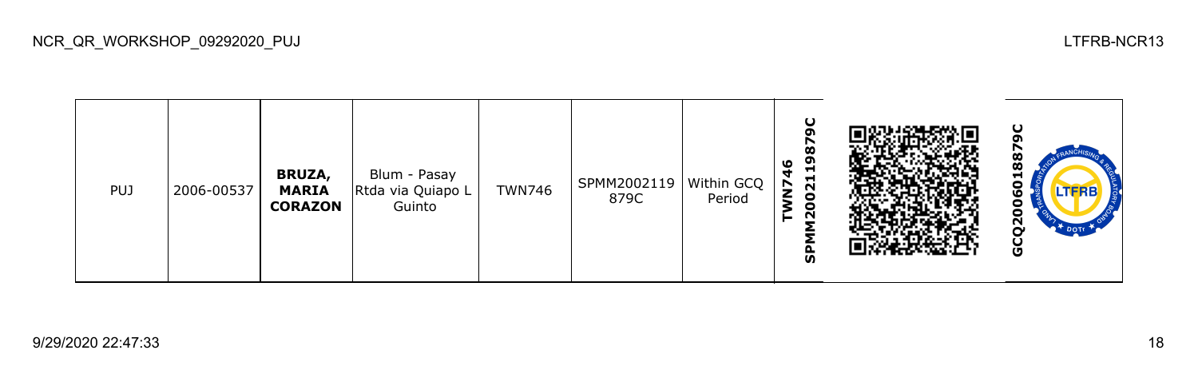| <b>PUJ</b> | 2006-00537 | <b>BRUZA,</b><br><b>MARIA</b><br><b>CORAZON</b> | Blum - Pasay<br>Rtda via Quiapo L<br>Guinto | <b>TWN746</b> | SPMM2002119   Within GCQ  <br>879C | Period | ပ<br><b>S</b><br>თ<br>٥<br>Ħ<br>ч<br>021<br>$\overline{\phantom{0}}$<br>$\overline{20}$<br>o<br>ັທ |  | ပ<br>œ<br>œ<br>ᆏ<br>o<br>ဖ<br>о<br>o<br>$\tilde{\mathbf{S}}$<br>DOTT<br>Ū |
|------------|------------|-------------------------------------------------|---------------------------------------------|---------------|------------------------------------|--------|----------------------------------------------------------------------------------------------------|--|---------------------------------------------------------------------------|
|------------|------------|-------------------------------------------------|---------------------------------------------|---------------|------------------------------------|--------|----------------------------------------------------------------------------------------------------|--|---------------------------------------------------------------------------|

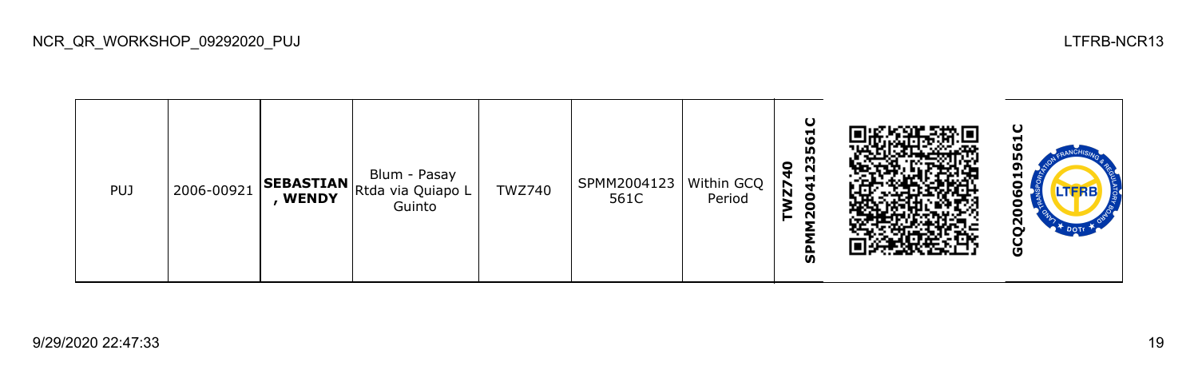| <b>PUJ</b> | 2006-00921 | <b>WENDY</b> | Blum - Pasay<br><sub>11</sub>   <b>SEBASTIAN</b>   Rtda via Quiapo L I<br>Guinto | <b>TWZ740</b> | SPMM2004123   Within GCQ  <br>561C | Period | ပ<br>ᆋ<br>۱O<br>Ю<br>m<br>0<br>N<br>4<br>⊣<br>$\overline{\mathbf{z}}$<br>$\bullet$<br>$\bullet$<br>N<br>ჭ |  | ပ<br>⊣<br>⊣<br>o<br><b>LTFRB</b><br>о<br>N<br>o |
|------------|------------|--------------|----------------------------------------------------------------------------------|---------------|------------------------------------|--------|-----------------------------------------------------------------------------------------------------------|--|-------------------------------------------------|
|------------|------------|--------------|----------------------------------------------------------------------------------|---------------|------------------------------------|--------|-----------------------------------------------------------------------------------------------------------|--|-------------------------------------------------|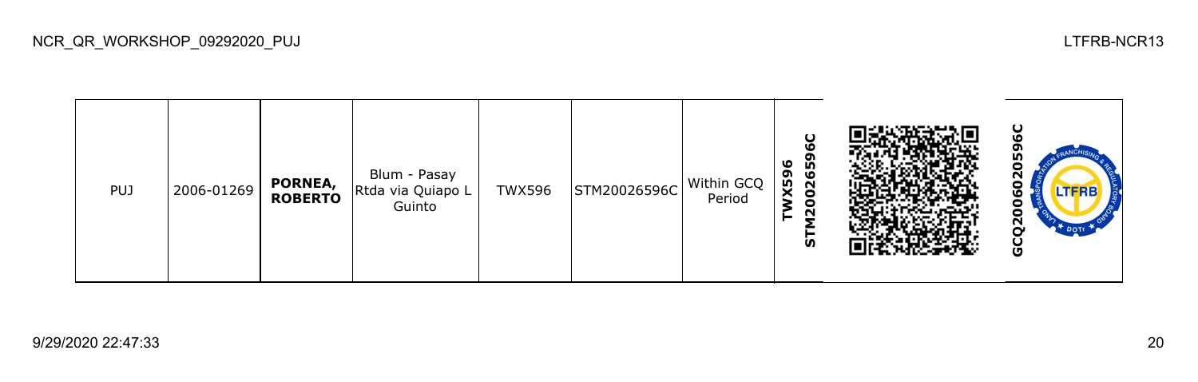**GCQ2006020596CSTM20026596C** ໑ 060205 **TWX596** Blum - Pasay PUJ 2006-01269 **PORNEA,**   $TWX596$  STM20026596C Within GCQ Rtda via Quiapo L **ROBERTO** Period Guinto GCQ20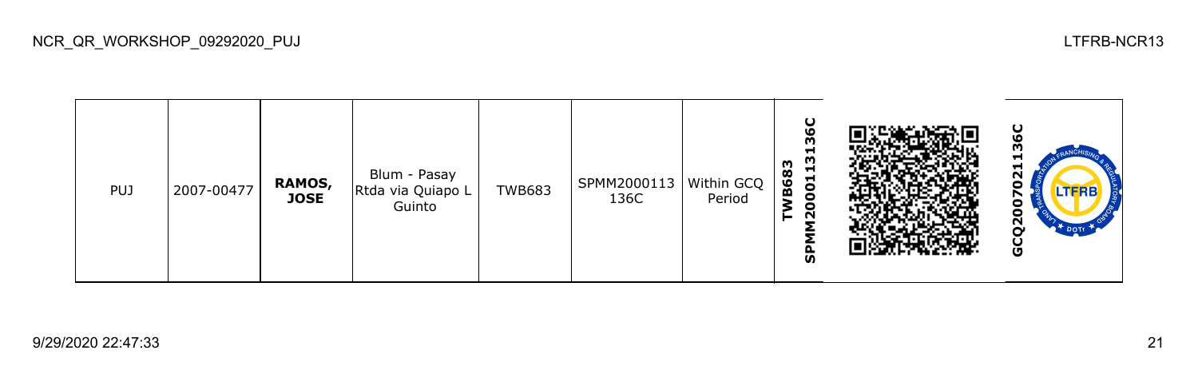| <b>PUJ</b> | 2007-00477 | RAMOS,<br><b>JOSE</b> | Blum - Pasay<br>Rtda via Quiapo L<br>Guinto | <b>TWB683</b> | SPMM2000113   Within GCQ<br>136C | Period | ပ<br>O<br>m<br>Н<br>m<br>m<br>Н<br>68<br>$\overline{5}$<br>$\mathbf{a}$<br>$\bullet$<br>$\bullet$<br>N<br>င္ဟ |  | ပ<br>ഥ<br>m<br>⊣<br>−<br>$\sim$<br>o<br>↖<br>о<br>U<br>2<br><b>DOTE</b><br>ט |
|------------|------------|-----------------------|---------------------------------------------|---------------|----------------------------------|--------|---------------------------------------------------------------------------------------------------------------|--|------------------------------------------------------------------------------|
|------------|------------|-----------------------|---------------------------------------------|---------------|----------------------------------|--------|---------------------------------------------------------------------------------------------------------------|--|------------------------------------------------------------------------------|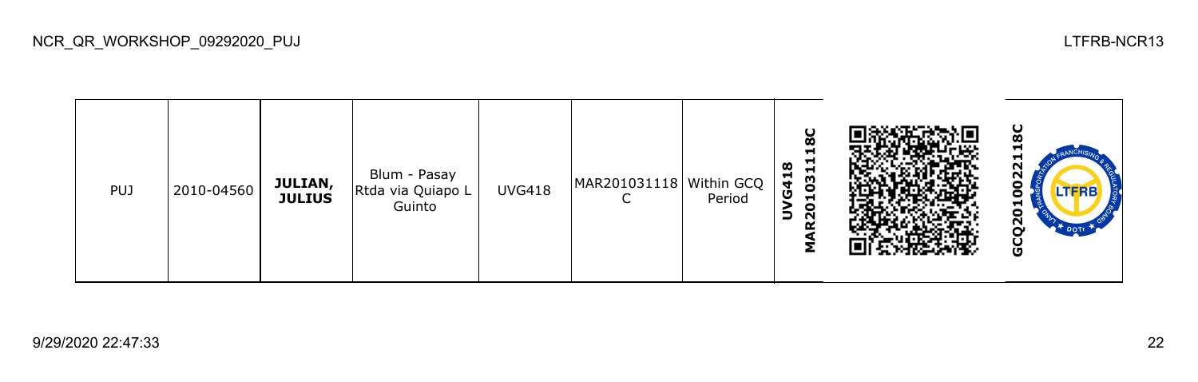| <b>PUJ</b> | 2010-04560 | JULIAN,<br><b>JULIUS</b> | Blum - Pasay<br>Rtda via Quiapo L<br>Guinto | <b>UVG418</b> | MAR201031118   Within GCQ | Period | န္တ<br>ᆋ<br>−<br>œ<br>031<br>G41<br>$\blacksquare$<br>3<br>$\mathbf{S}$<br>n |  | မ္က<br>−<br>H<br>N<br><b>LTFRB</b><br>ο<br>5<br>22<br>$\mathfrak{r}$ dotr<br>ט |
|------------|------------|--------------------------|---------------------------------------------|---------------|---------------------------|--------|------------------------------------------------------------------------------|--|--------------------------------------------------------------------------------|
|------------|------------|--------------------------|---------------------------------------------|---------------|---------------------------|--------|------------------------------------------------------------------------------|--|--------------------------------------------------------------------------------|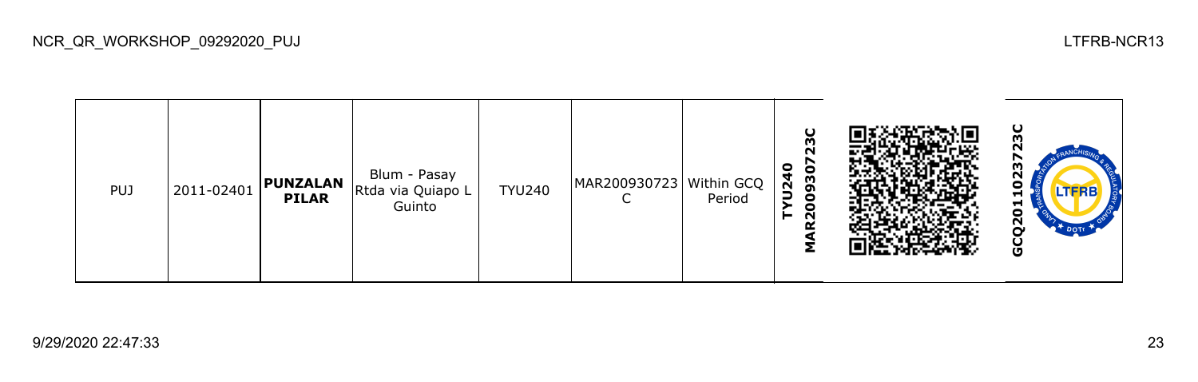| <b>PUJ</b> | 2011-02401 | <b>PUNZALAN</b><br><b>PILAR</b> | Blum - Pasay<br>Rtda via Quiapo L<br>Guinto | <b>TYU240</b> | MAR200930723 Within GCQ | Period | U<br>23<br>0<br>$\bullet$<br>$\overline{a}$<br>93<br>e<br>o<br>$\sim$ |  | ပ<br>m<br>ี่<br>Ξ<br><b>LTFRB</b><br>Н<br>ដ<br>ี<br>U |
|------------|------------|---------------------------------|---------------------------------------------|---------------|-------------------------|--------|-----------------------------------------------------------------------|--|-------------------------------------------------------|
|------------|------------|---------------------------------|---------------------------------------------|---------------|-------------------------|--------|-----------------------------------------------------------------------|--|-------------------------------------------------------|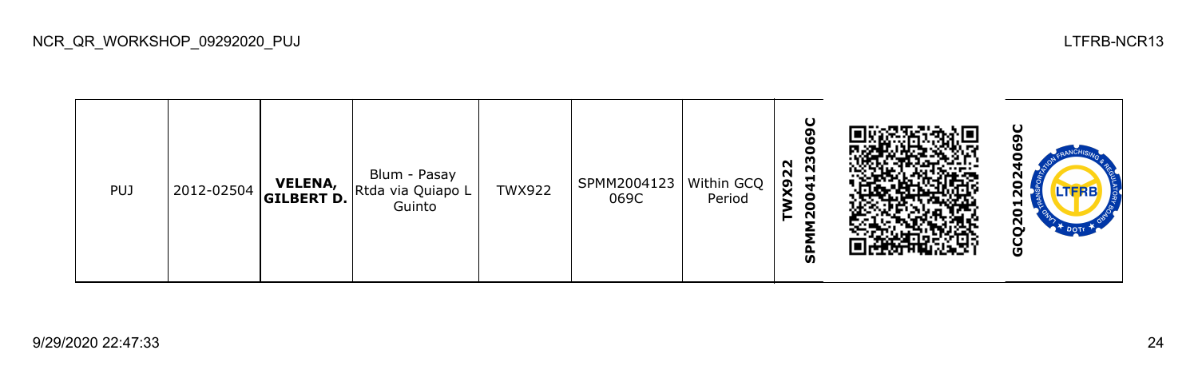**SPMM2004123069C GCQ2012024069C**TWX922<br>SPMM2004123069 Blum - Pasay PUJ 2012-02504 **VELENA,** TWX922 SPMM2004123 Within GCQ  $\mathbf{S}$ Rtda via Quiapo L **GILBERT D.** 069C Period Guinto GCQ20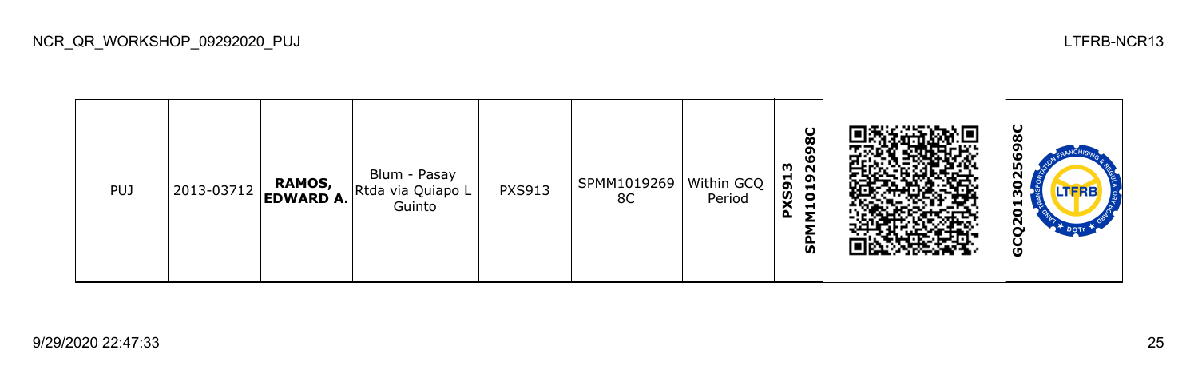98C **GCQ2013025698CSPMM10192698C PXS913** Blum - Pasay PUJ 2013-03712 **RAMOS,**  PXS913 SPMM1019269 Within GCQ 130 Rtda via Quiapo L **EDWARD A.** 8C Period Guinto GCQ20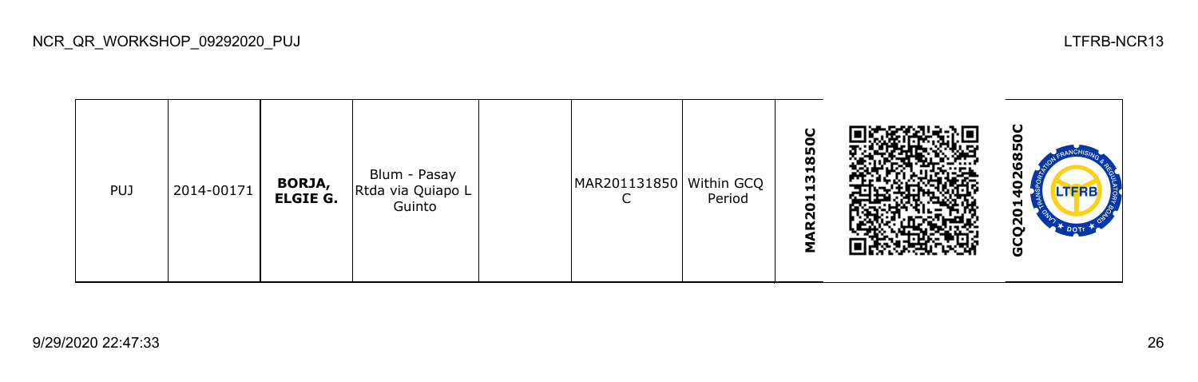| <b>PUJ</b> | 2014-00171 | <b>BORJA,<br/>ELGIE G.</b> | Blum - Pasay<br>Rtda via Quiapo L<br>Guinto |  | MAR201131850 Within GCQ | Period | U<br>850<br>131<br>$\overline{\mathbf{c}}$<br>N<br>œ<br>Σ |  | ပ<br>πū<br>œ<br>ഥ<br>N<br>o.<br>o<br>$\overline{a}$<br><b>TOOTH</b><br>O |
|------------|------------|----------------------------|---------------------------------------------|--|-------------------------|--------|-----------------------------------------------------------|--|--------------------------------------------------------------------------|
|------------|------------|----------------------------|---------------------------------------------|--|-------------------------|--------|-----------------------------------------------------------|--|--------------------------------------------------------------------------|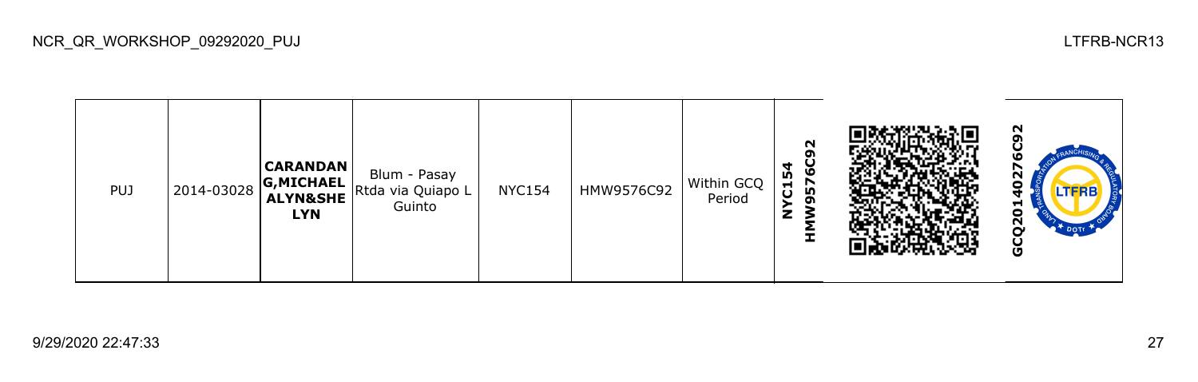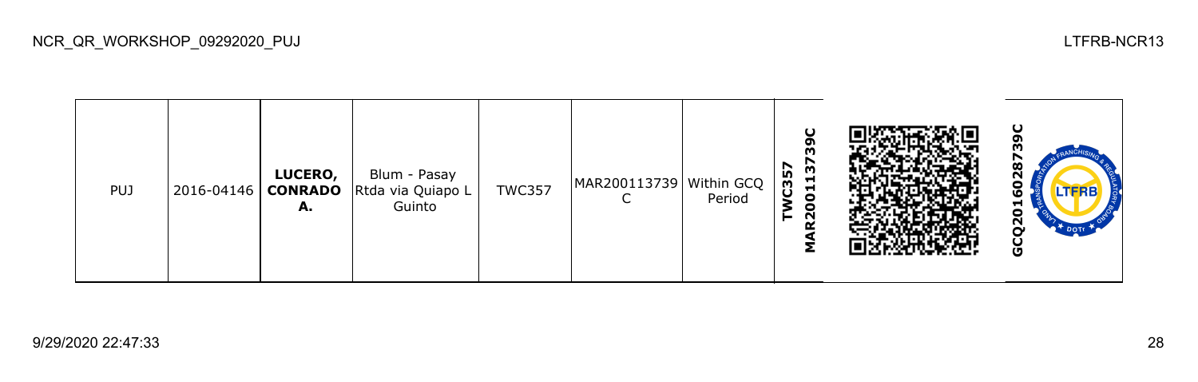| <b>PUJ</b> | $ 2016 - 04146 $ | LUCERO,<br><b>CONRADO</b><br>А. | Blum - Pasay<br>Rtda via Quiapo L<br>Guinto | <b>TWC357</b> | MAR200113739   Within GCQ | Period | $\mathbf C$<br>o<br>m<br>5<br>N<br>C35<br>$\blacksquare$<br><b>H</b><br>0<br>0<br>$\sim$ |  | ပ<br>œ<br>ี<br>о<br><b>LTFRB</b><br>⊣<br>N<br>O |
|------------|------------------|---------------------------------|---------------------------------------------|---------------|---------------------------|--------|------------------------------------------------------------------------------------------|--|-------------------------------------------------|
|------------|------------------|---------------------------------|---------------------------------------------|---------------|---------------------------|--------|------------------------------------------------------------------------------------------|--|-------------------------------------------------|

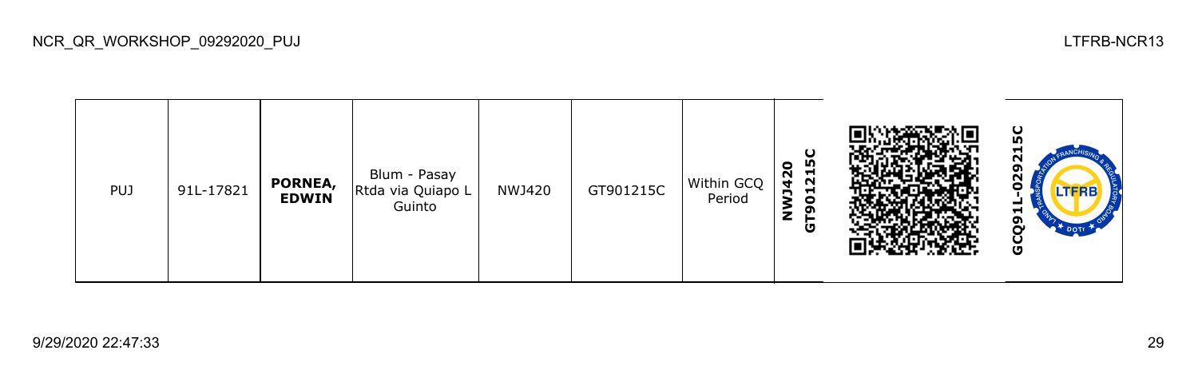ပ္ပ **GCQ91L-029215CGT901215C** N **NWJ420** ໑ Blum - Pasay ี PUJ 91L-17821 **PORNEA,**  NWJ420 GT901215C Within GCQ Rtda via Quiapo L Ξ **EDWIN** Period Guinto GCQ9

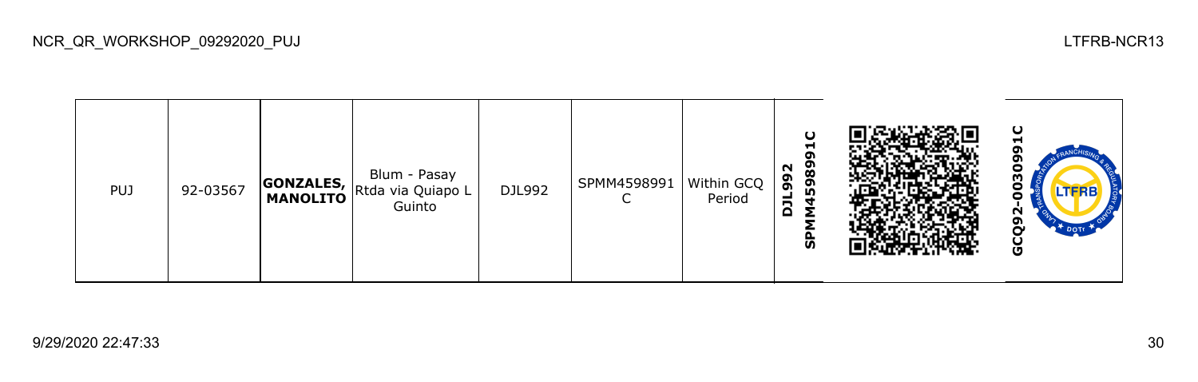| <b>PUJ</b> | 92-03567 |  | Blum - Pasay<br><b>GONZALES, Rtda via Quiapo L</b><br>MANOLITO Rtda via Quiapo L<br>Guinto | DJL992 | SPMM4598991<br>∼ | Within GCQ<br>Period | $\cup$<br>−<br>G<br>5989<br>N<br>G<br>O)<br>ᆜ<br>∍<br>Δ<br>ັທ |  | ပ<br>-<br>o<br>ო<br>o<br><b>LTFRB</b><br>o<br>N<br>o<br>မ္ပ |
|------------|----------|--|--------------------------------------------------------------------------------------------|--------|------------------|----------------------|---------------------------------------------------------------|--|-------------------------------------------------------------|
|------------|----------|--|--------------------------------------------------------------------------------------------|--------|------------------|----------------------|---------------------------------------------------------------|--|-------------------------------------------------------------|

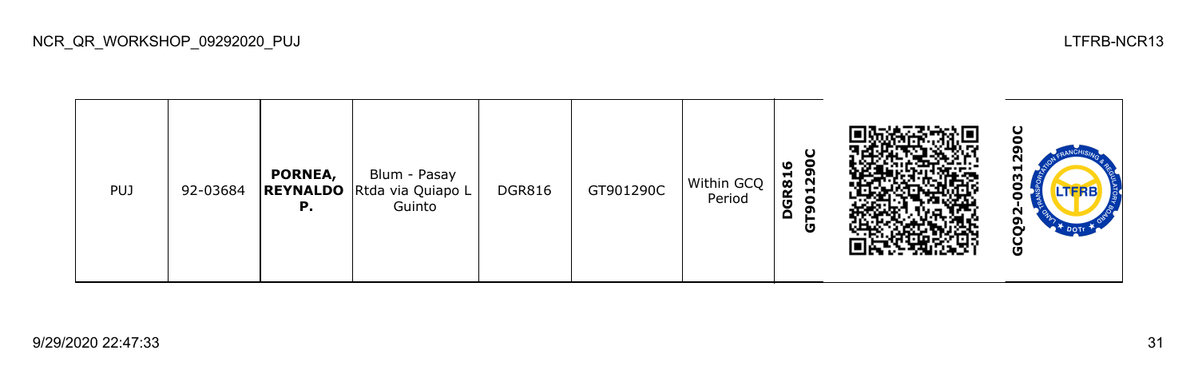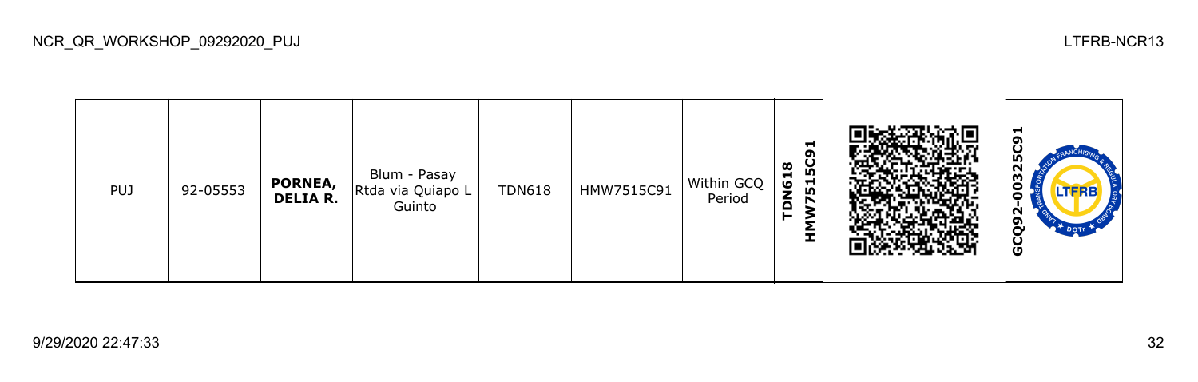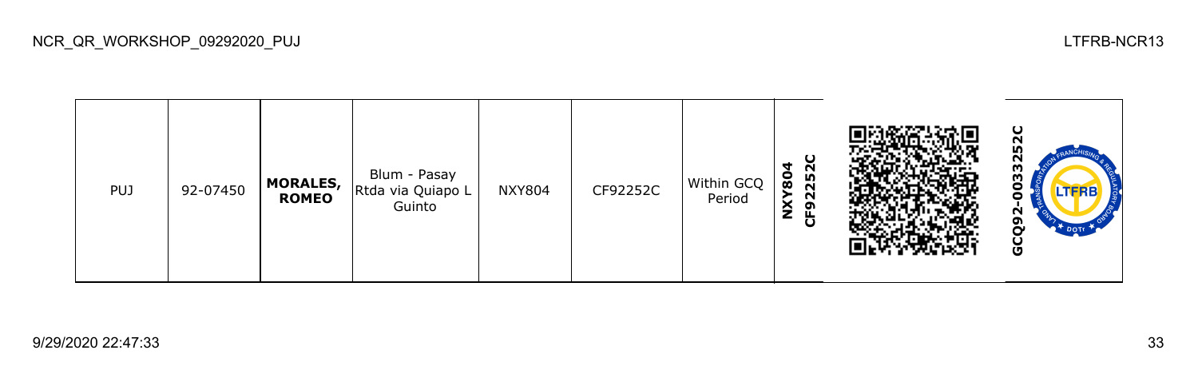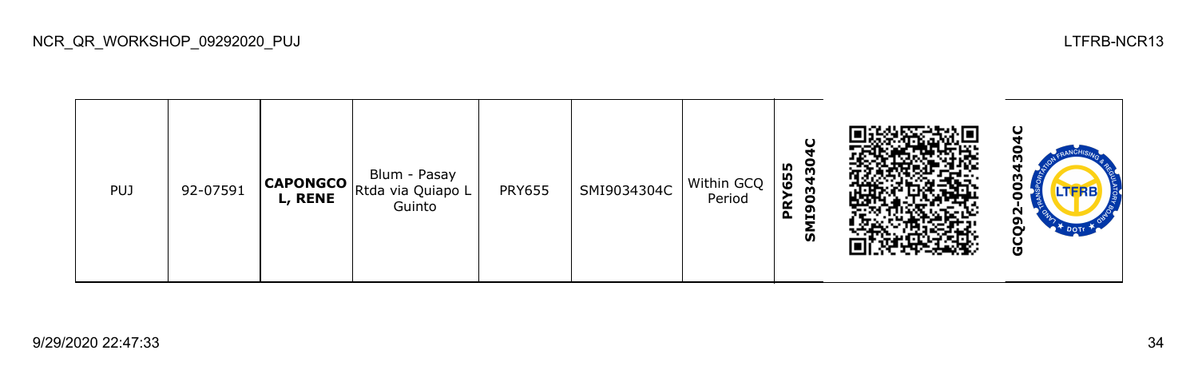

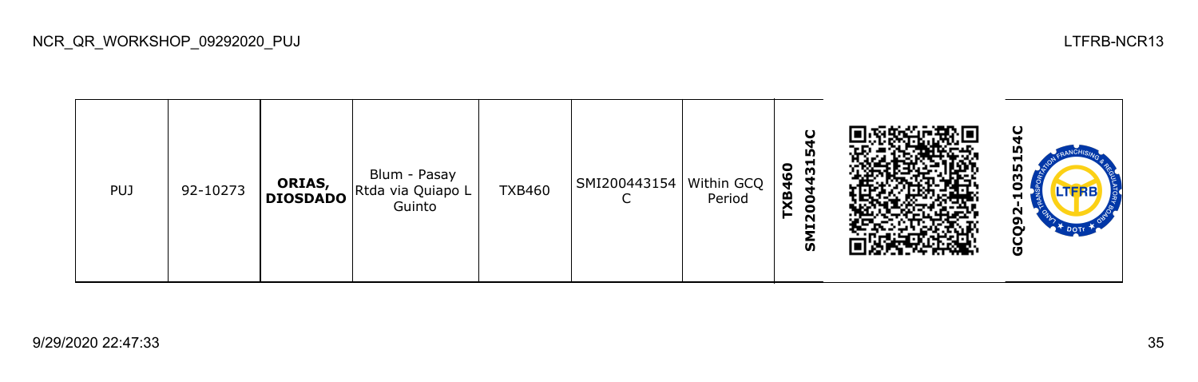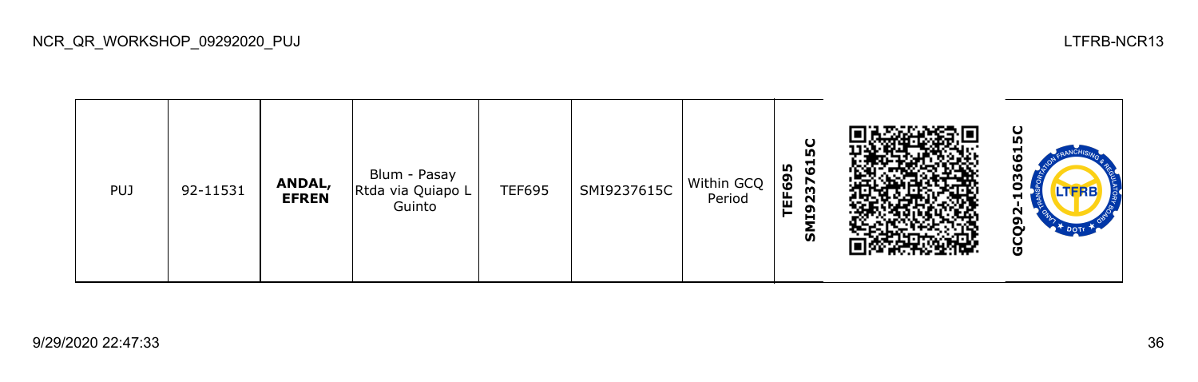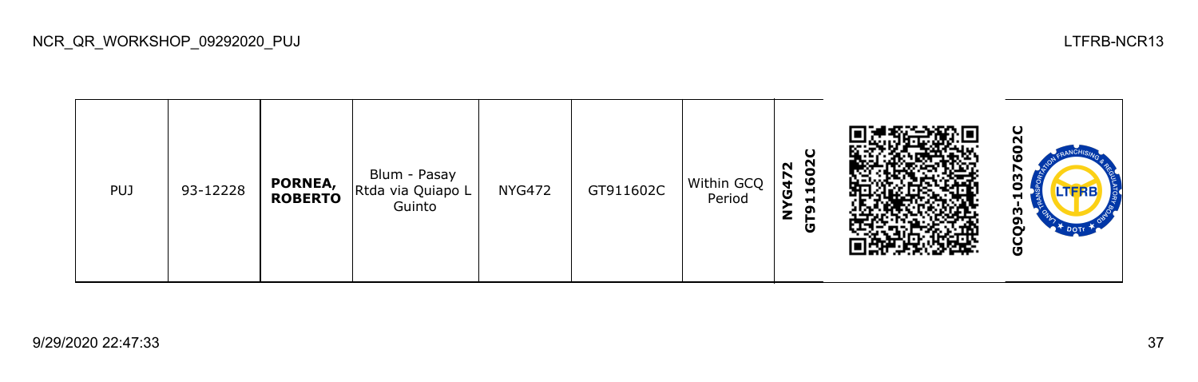

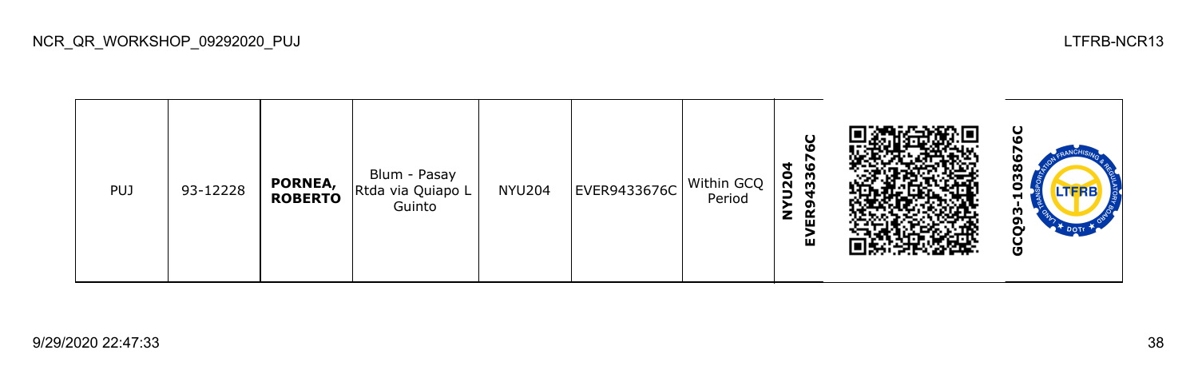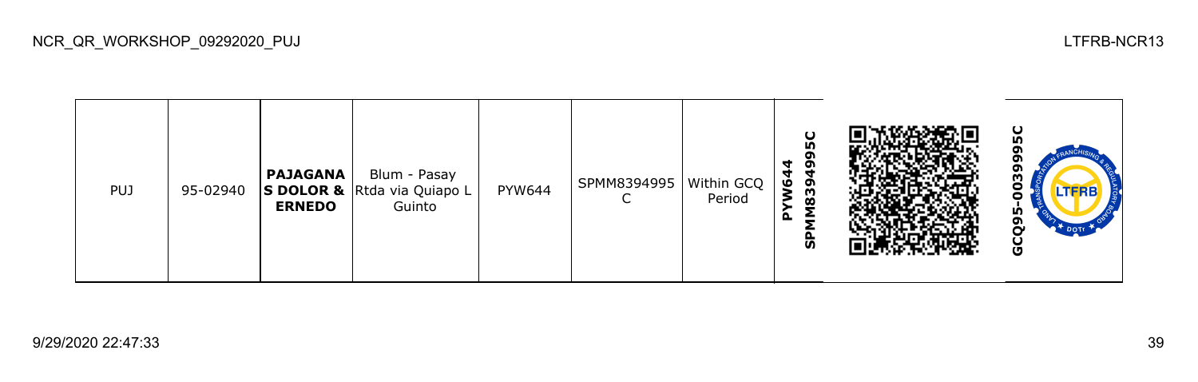| <b>PUJ</b> | 95-02940 | <b>PAJAGANA</b><br><b>ERNEDO</b> | Blum - Pasay<br>S DOLOR & Rtda via Quiapo L<br>Guinto | PYW644 | SPMM8394995 | Within GCQ<br>Period | U<br><b>In</b><br>ຫ<br>4<br>ຸດ<br>₩<br>Š<br>39<br>Ø<br>௳<br>ັທ |  | ပ<br>თ<br>m<br>o<br>LTFRB<br>U<br>m<br>o<br>မ္ပ |
|------------|----------|----------------------------------|-------------------------------------------------------|--------|-------------|----------------------|----------------------------------------------------------------|--|-------------------------------------------------|
|------------|----------|----------------------------------|-------------------------------------------------------|--------|-------------|----------------------|----------------------------------------------------------------|--|-------------------------------------------------|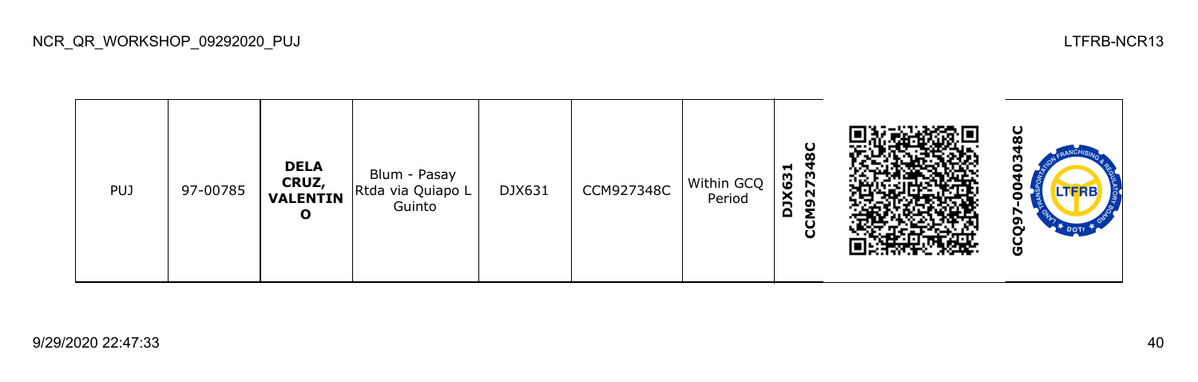ပ္စ **GCQ97-0040348CCCM927348C DELA DJX631** Blum - Pasay **CRUZ,**  DJX631 CCM927348C Within GCQ PUJ 97-00785 Rtda via Quiapo L **VALENTIN** Period ō Guinto **O** GCQ9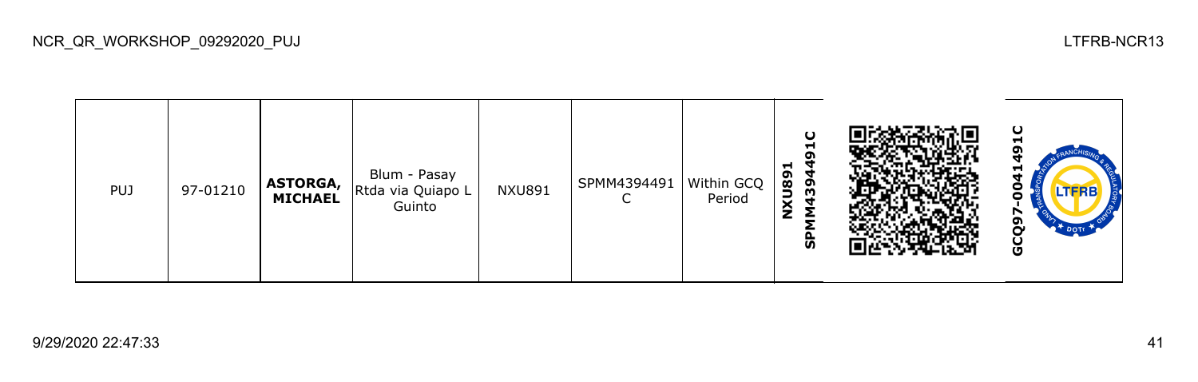| <b>PUJ</b> | 97-01210 | ASTORGA,<br>MICHAEL | Blum - Pasay<br>Rtda via Quiapo L<br>Guinto | <b>NXU891</b> | SPMM4394491 | Within GCQ<br>Period | O<br>−<br>σ<br>−<br>NXU89<br>39<br>ჭ |  | ပ<br>−<br>▬<br>LTERB<br>o<br><sup>+</sup> DOTE<br>Ū |
|------------|----------|---------------------|---------------------------------------------|---------------|-------------|----------------------|--------------------------------------|--|-----------------------------------------------------|
|------------|----------|---------------------|---------------------------------------------|---------------|-------------|----------------------|--------------------------------------|--|-----------------------------------------------------|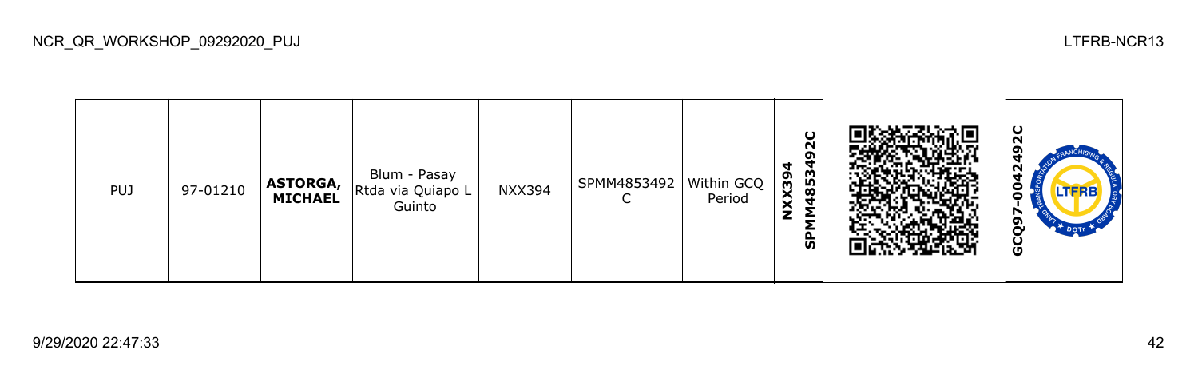| <b>PUJ</b> | 97-01210 | <b>ASTORGA,</b><br>MICHAEL | Blum - Pasay<br>Rtda via Quiapo L<br>Guinto | <b>NXX394</b> | SPMM4853492<br>◡ | Within GCQ<br>Period | $\mathbf C$<br>N<br>o<br>₹<br>853<br>NXX39<br>င္ဟ |  | ပ<br>−<br><b>LTFRB</b><br>თ<br>U |
|------------|----------|----------------------------|---------------------------------------------|---------------|------------------|----------------------|---------------------------------------------------|--|----------------------------------|
|------------|----------|----------------------------|---------------------------------------------|---------------|------------------|----------------------|---------------------------------------------------|--|----------------------------------|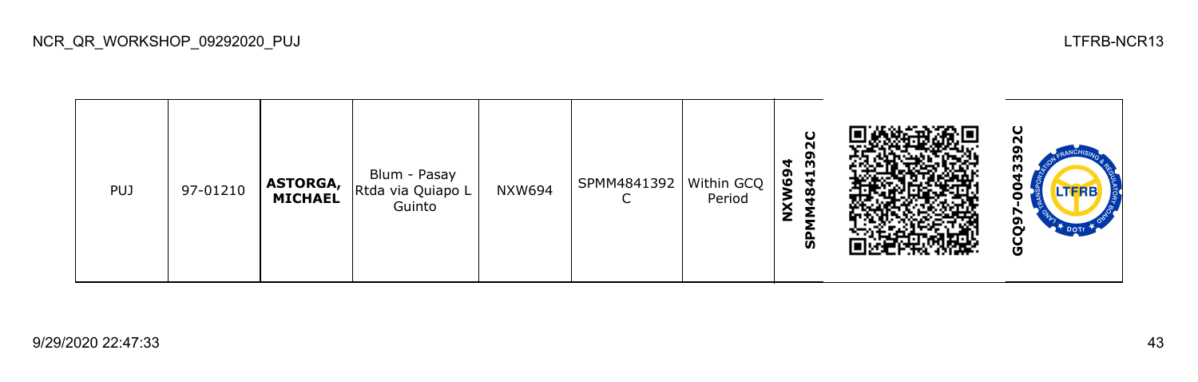| <b>PUJ</b> | 97-01210 | ASTORGA,<br><b>MICHAEL</b> | Blum - Pasay<br>Rtda via Quiapo L<br>Guinto | NXW694 | SPMM4841392 | Within GCQ<br>Period | O<br>N<br>႙ၟ<br>4<br>W69<br>$\frac{1}{4}$<br>മ<br>ະ<br>ᄌ<br>ჭ |  | ပ<br>ო<br>m<br>−<br>LTERB<br>-<br>o<br><b>L<sup>T</sup> DOTI</b><br>Ō |
|------------|----------|----------------------------|---------------------------------------------|--------|-------------|----------------------|---------------------------------------------------------------|--|-----------------------------------------------------------------------|
|------------|----------|----------------------------|---------------------------------------------|--------|-------------|----------------------|---------------------------------------------------------------|--|-----------------------------------------------------------------------|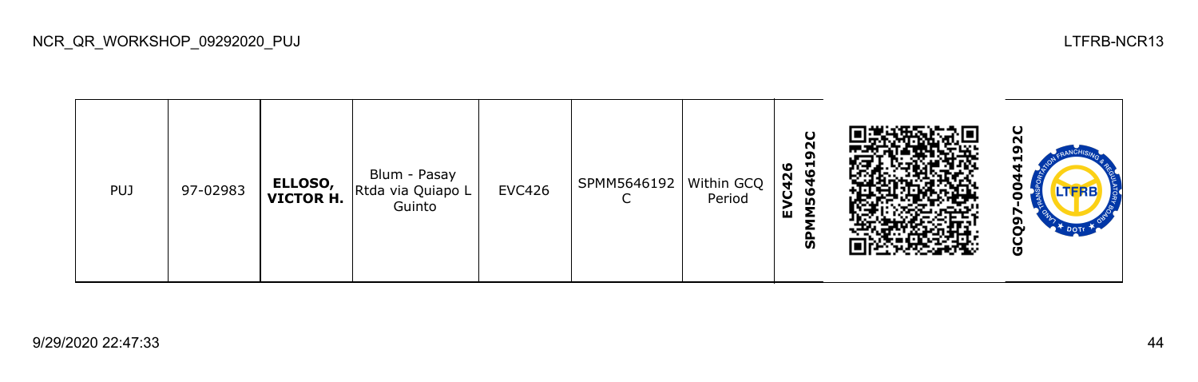| <b>PUJ</b> | 97-02983 | ELLOSO,<br>VICTOR H. | Blum - Pasay<br>Rtda via Quiapo L<br>Guinto | <b>EVC426</b> | SPMM5646192   Within GCQ | Period | $\mathbf C$<br>N<br>თ<br>ဖ<br>−<br>ဖ<br>$\boldsymbol{4}$<br>ဖ<br>ပ<br>m<br>ш<br>င္ဟ |  | ပ<br>-<br><b>LTFRB</b><br>ה<br>မိ |
|------------|----------|----------------------|---------------------------------------------|---------------|--------------------------|--------|-------------------------------------------------------------------------------------|--|-----------------------------------|
|------------|----------|----------------------|---------------------------------------------|---------------|--------------------------|--------|-------------------------------------------------------------------------------------|--|-----------------------------------|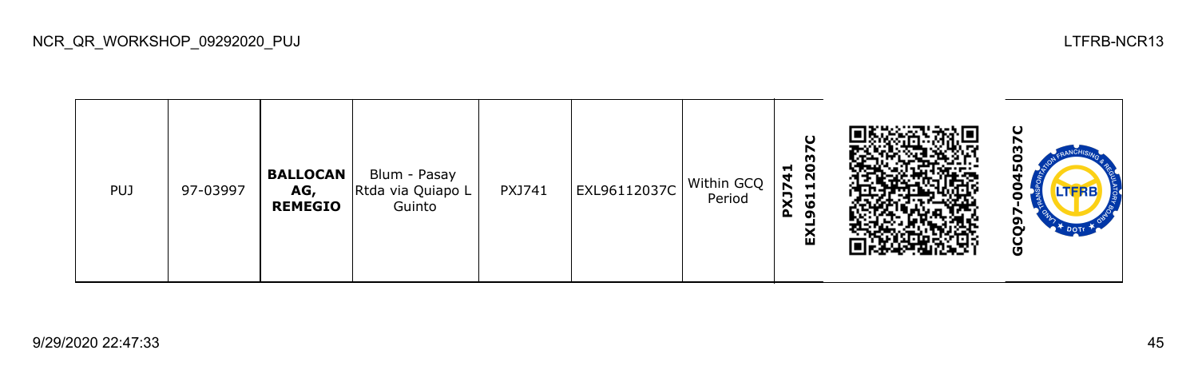| <b>PUJ</b> | 97-03997 | <b>BALLOCAN</b><br>AG,<br><b>REMEGIO</b> | Blum - Pasay<br>Rtda via Quiapo L<br>Guinto | PXJ741 | EXL96112037C | Within GCQ<br>Period | O<br>m<br>ິ<br>ລິ<br>$\frac{1}{4}$<br>$\blacksquare$<br>PXJ7<br><b>d</b><br>ဖ<br>ഹ<br>ଢ |  | ပ<br>m<br>o<br>45<br>Ο<br>TFRB.<br>o<br>თ<br>Ō<br><b>TA DOTE</b><br>မိ |
|------------|----------|------------------------------------------|---------------------------------------------|--------|--------------|----------------------|-----------------------------------------------------------------------------------------|--|------------------------------------------------------------------------|
|------------|----------|------------------------------------------|---------------------------------------------|--------|--------------|----------------------|-----------------------------------------------------------------------------------------|--|------------------------------------------------------------------------|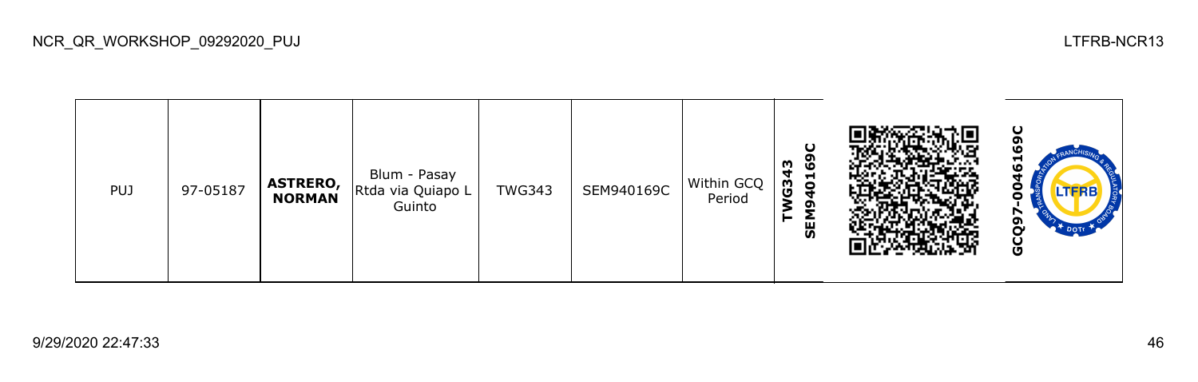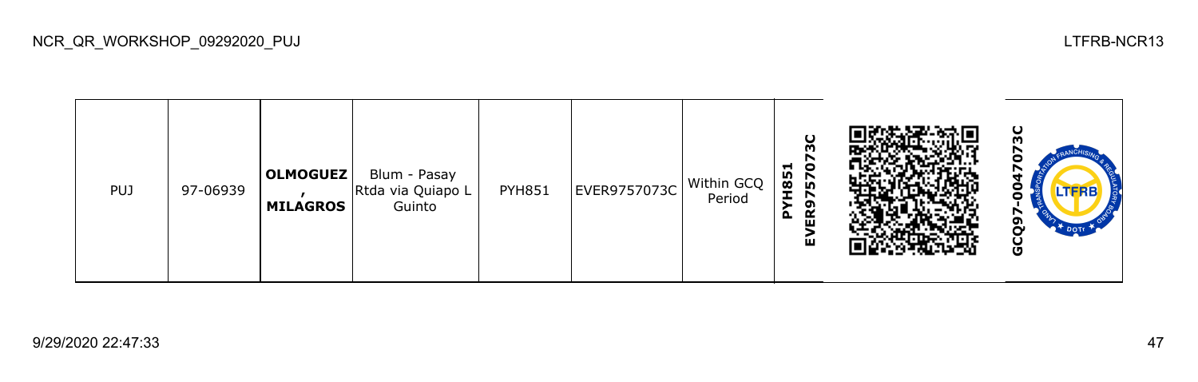| <b>PUJ</b> | 97-06939 | <b>OLMOGUEZ</b><br><b>MILAGROS</b> | Blum - Pasay<br>Rtda via Quiapo L<br>Guinto | <b>PYH851</b> | EVER9757073C | Within GCQ<br>Period | O<br>m<br>H851<br>o<br>ნ<br>ი<br>ຫ<br>$\Delta$<br>ш<br>ш |  | ပ<br><b>LTFRB</b><br>o |
|------------|----------|------------------------------------|---------------------------------------------|---------------|--------------|----------------------|----------------------------------------------------------|--|------------------------|
|------------|----------|------------------------------------|---------------------------------------------|---------------|--------------|----------------------|----------------------------------------------------------|--|------------------------|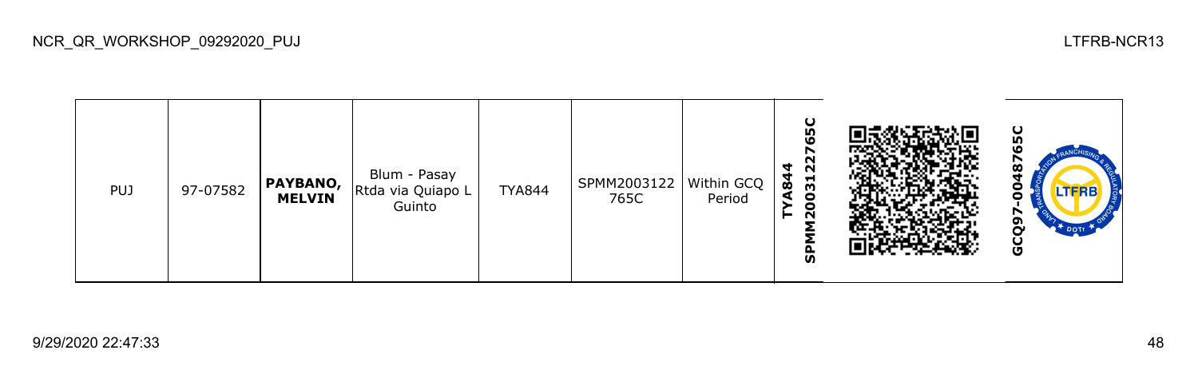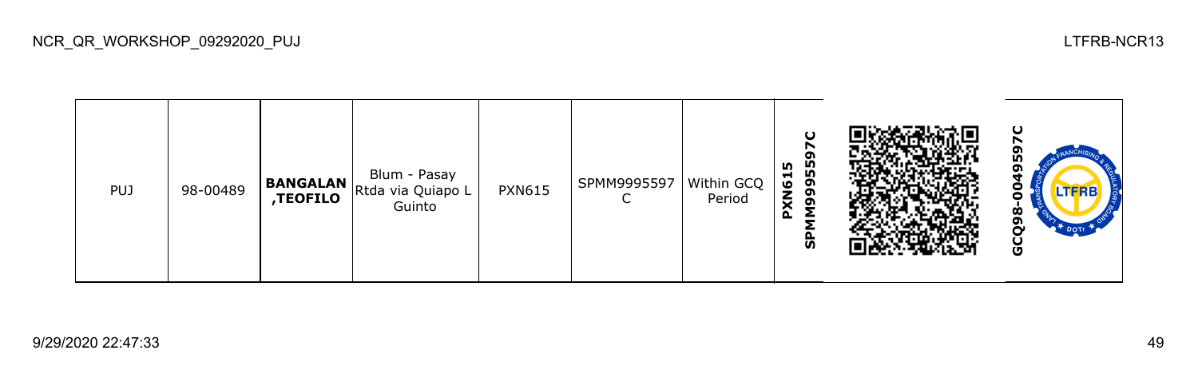

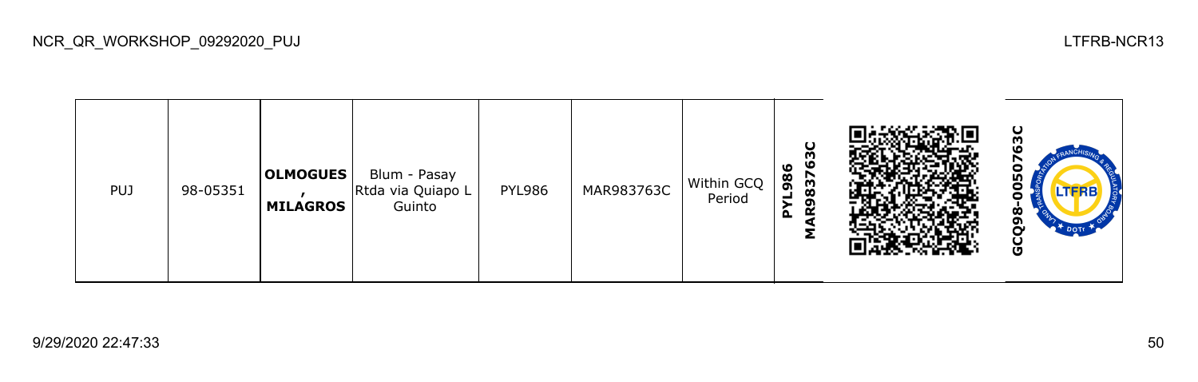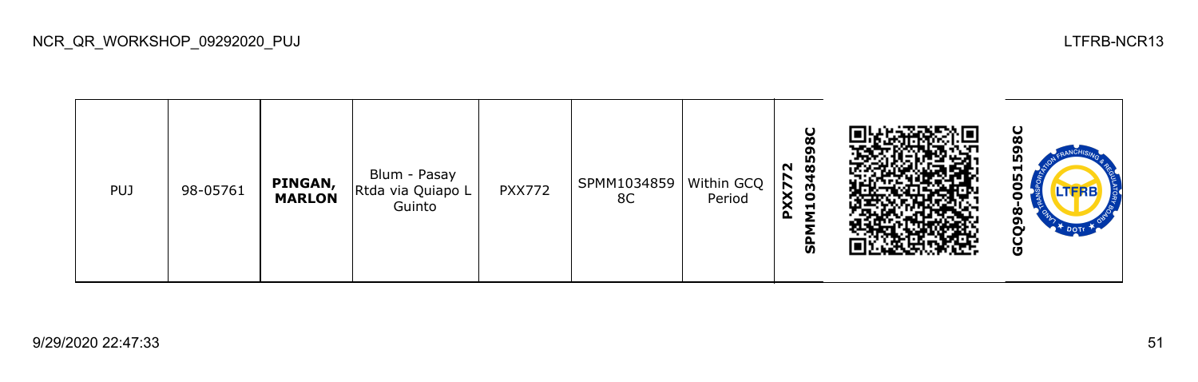| <b>PUJ</b> | 98-05761 | PINGAN,<br><b>MARLON</b> | Blum - Pasay<br>Rtda via Quiapo L<br>Guinto | <b>PXX772</b> | SPMM1034859<br>8C | Within GCQ<br>Period | ပ<br>œ<br>ຸດາ<br>85<br>$\sim$<br>PXX77<br>G,<br>−<br><b>S</b> |  | ပ<br>oı<br>LO <sub>1</sub><br>51<br>o<br><b>LTFRB</b><br>o<br>Ò<br>o<br>မ္ပ |
|------------|----------|--------------------------|---------------------------------------------|---------------|-------------------|----------------------|---------------------------------------------------------------|--|-----------------------------------------------------------------------------|
|------------|----------|--------------------------|---------------------------------------------|---------------|-------------------|----------------------|---------------------------------------------------------------|--|-----------------------------------------------------------------------------|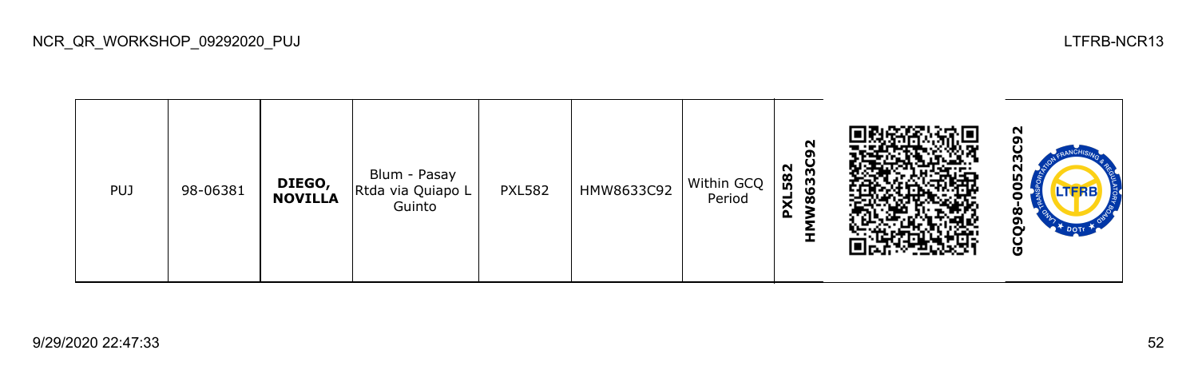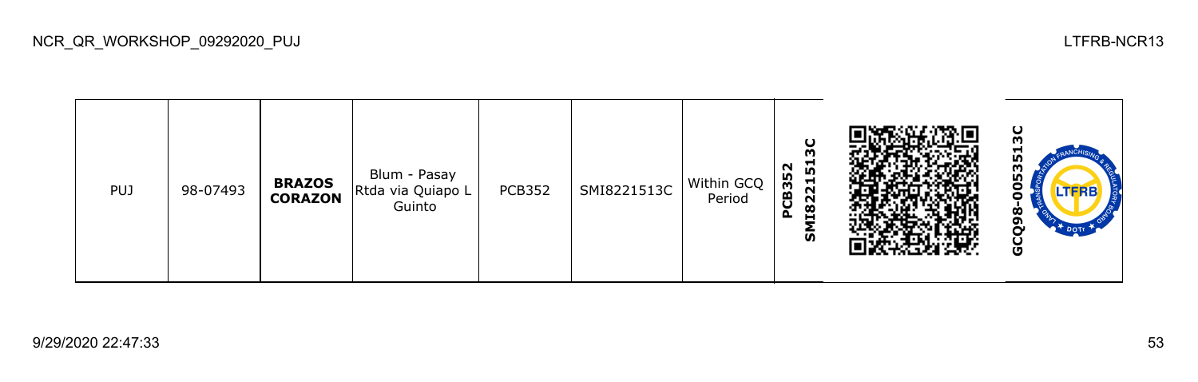